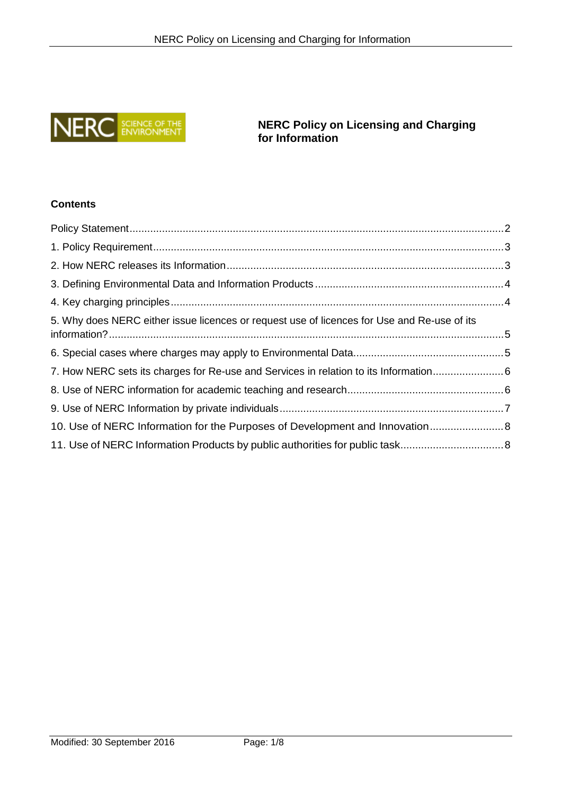

**NERC Policy on Licensing and Charging for Information**

# **Contents**

| 5. Why does NERC either issue licences or request use of licences for Use and Re-use of its |  |
|---------------------------------------------------------------------------------------------|--|
|                                                                                             |  |
| 7. How NERC sets its charges for Re-use and Services in relation to its Information 6       |  |
|                                                                                             |  |
|                                                                                             |  |
| 10. Use of NERC Information for the Purposes of Development and Innovation 8                |  |
|                                                                                             |  |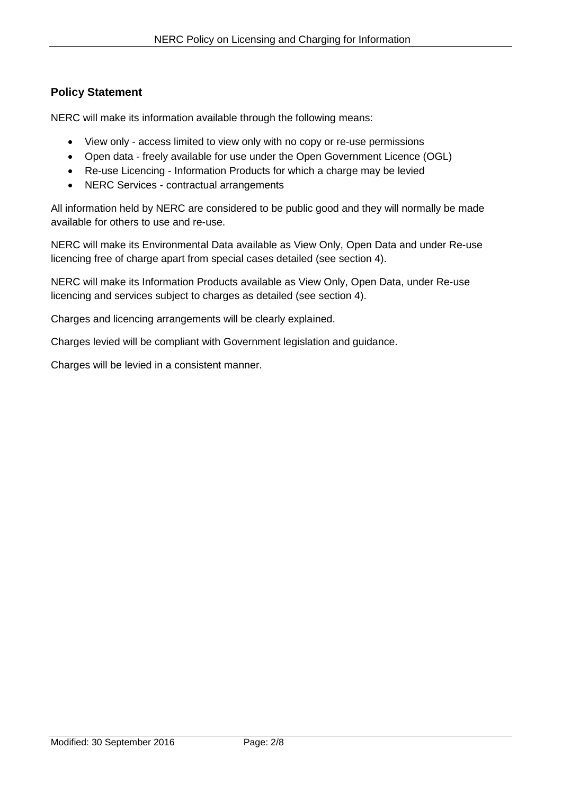## <span id="page-1-0"></span>**Policy Statement**

NERC will make its information available through the following means:

- View only access limited to view only with no copy or re-use permissions
- Open data freely available for use under the Open Government Licence (OGL)
- Re-use Licencing Information Products for which a charge may be levied
- NERC Services contractual arrangements

All information held by NERC are considered to be public good and they will normally be made available for others to use and re-use.

NERC will make its Environmental Data available as View Only, Open Data and under Re-use licencing free of charge apart from special cases detailed (see section 4).

NERC will make its Information Products available as View Only, Open Data, under Re-use licencing and services subject to charges as detailed (see section 4).

Charges and licencing arrangements will be clearly explained.

Charges levied will be compliant with Government legislation and guidance.

Charges will be levied in a consistent manner.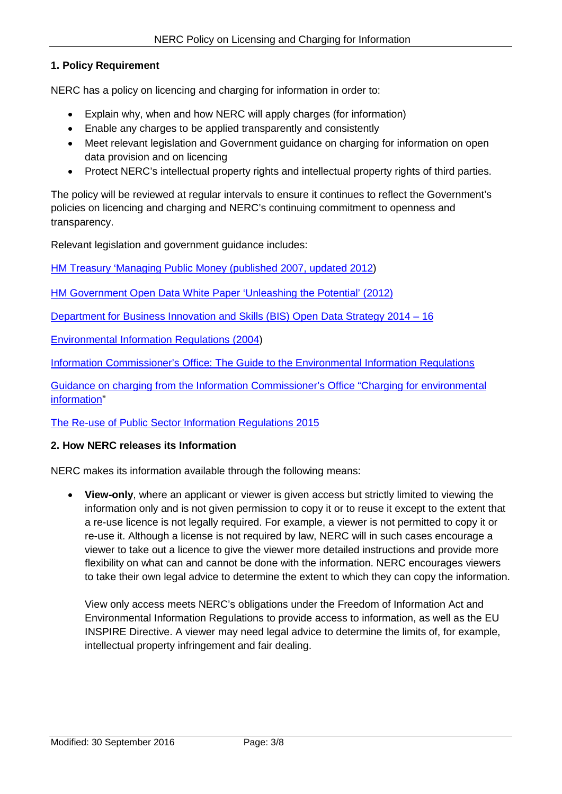#### <span id="page-2-0"></span>**1. Policy Requirement**

NERC has a policy on licencing and charging for information in order to:

- Explain why, when and how NERC will apply charges (for information)
- Enable any charges to be applied transparently and consistently
- Meet relevant legislation and Government guidance on charging for information on open data provision and on licencing
- Protect NERC's intellectual property rights and intellectual property rights of third parties.

The policy will be reviewed at regular intervals to ensure it continues to reflect the Government's policies on licencing and charging and NERC's continuing commitment to openness and transparency.

Relevant legislation and government guidance includes:

[HM Treasury 'Managing Public Money \(published 2007, updated 2012\)](https://www.gov.uk/government/publications/managing-public-money)

[HM Government Open Data White Paper 'Unleashing the Potential'](https://data.gov.uk/sites/default/files/Open_data_White_Paper.pdf) (2012)

[Department for Business Innovation and Skills \(BIS\) Open Data Strategy 2014 –](https://www.gov.uk/government/uploads/system/uploads/attachment_data/file/330382/bis-14-946-open-data-strategy-2014-2016.pdf) 16

[Environmental Information Regulations \(2004\)](http://www.legislation.gov.uk/uksi/2004/3391/contents/made)

Information Commissioner's Office: [The Guide to the Environmental Information Regulations](https://ico.org.uk/for-organisations/guide-to-the-environmental-information-regulations/)

[Guidance on charging from the Information Commissioner's Office "Charging for](https://ico.org.uk/media/for-organisations/documents/1627/charging-for-environmental-information-reg8.pdf) environmental [information"](https://ico.org.uk/media/for-organisations/documents/1627/charging-for-environmental-information-reg8.pdf)

[The Re-use of Public Sector Information Regulations 2015](http://www.legislation.gov.uk/uksi/2015/1415/contents/made)

#### <span id="page-2-1"></span>**2. How NERC releases its Information**

NERC makes its information available through the following means:

• **View-only**, where an applicant or viewer is given access but strictly limited to viewing the information only and is not given permission to copy it or to reuse it except to the extent that a re-use licence is not legally required. For example, a viewer is not permitted to copy it or re-use it. Although a license is not required by law, NERC will in such cases encourage a viewer to take out a licence to give the viewer more detailed instructions and provide more flexibility on what can and cannot be done with the information. NERC encourages viewers to take their own legal advice to determine the extent to which they can copy the information.

View only access meets NERC's obligations under the Freedom of Information Act and Environmental Information Regulations to provide access to information, as well as the EU INSPIRE Directive. A viewer may need legal advice to determine the limits of, for example, intellectual property infringement and fair dealing.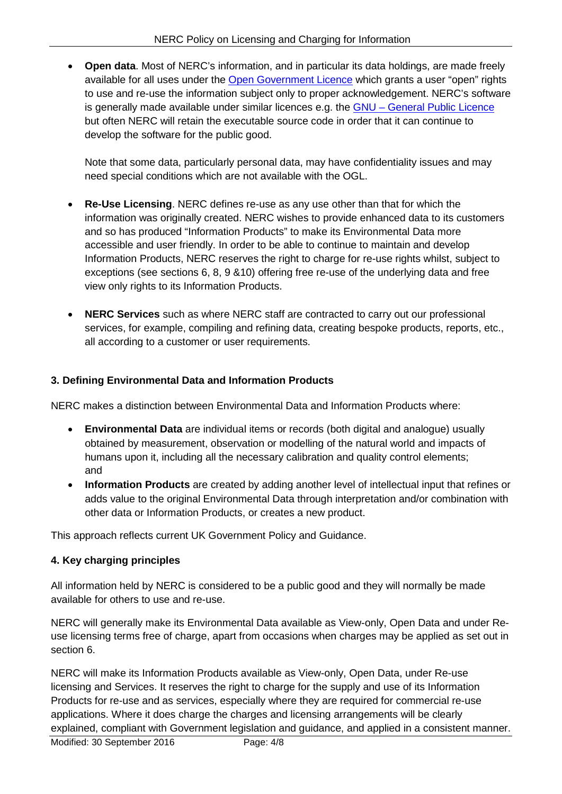• **Open data**. Most of NERC's information, and in particular its data holdings, are made freely available for all uses under the [Open Government Licence](http://www.nationalarchives.gov.uk/doc/open-government-licence/version/3/) which grants a user "open" rights to use and re-use the information subject only to proper acknowledgement. NERC's software is generally made available under similar licences e.g. the GNU – [General Public Licence](http://www.gnu.org/licenses/gpl-howto.en.html) but often NERC will retain the executable source code in order that it can continue to develop the software for the public good.

Note that some data, particularly personal data, may have confidentiality issues and may need special conditions which are not available with the OGL.

- **Re-Use Licensing**. NERC defines re-use as any use other than that for which the information was originally created. NERC wishes to provide enhanced data to its customers and so has produced "Information Products" to make its Environmental Data more accessible and user friendly. In order to be able to continue to maintain and develop Information Products, NERC reserves the right to charge for re-use rights whilst, subject to exceptions (see sections 6, 8, 9 &10) offering free re-use of the underlying data and free view only rights to its Information Products.
- **NERC Services** such as where NERC staff are contracted to carry out our professional services, for example, compiling and refining data, creating bespoke products, reports, etc., all according to a customer or user requirements.

### <span id="page-3-0"></span>**3. Defining Environmental Data and Information Products**

NERC makes a distinction between Environmental Data and Information Products where:

- **Environmental Data** are individual items or records (both digital and analogue) usually obtained by measurement, observation or modelling of the natural world and impacts of humans upon it, including all the necessary calibration and quality control elements; and
- **Information Products** are created by adding another level of intellectual input that refines or adds value to the original Environmental Data through interpretation and/or combination with other data or Information Products, or creates a new product.

This approach reflects current UK Government Policy and Guidance.

### <span id="page-3-1"></span>**4. Key charging principles**

All information held by NERC is considered to be a public good and they will normally be made available for others to use and re-use.

NERC will generally make its Environmental Data available as View-only, Open Data and under Reuse licensing terms free of charge, apart from occasions when charges may be applied as set out in section 6.

NERC will make its Information Products available as View-only, Open Data, under Re-use licensing and Services. It reserves the right to charge for the supply and use of its Information Products for re-use and as services, especially where they are required for commercial re-use applications. Where it does charge the charges and licensing arrangements will be clearly explained, compliant with Government legislation and guidance, and applied in a consistent manner.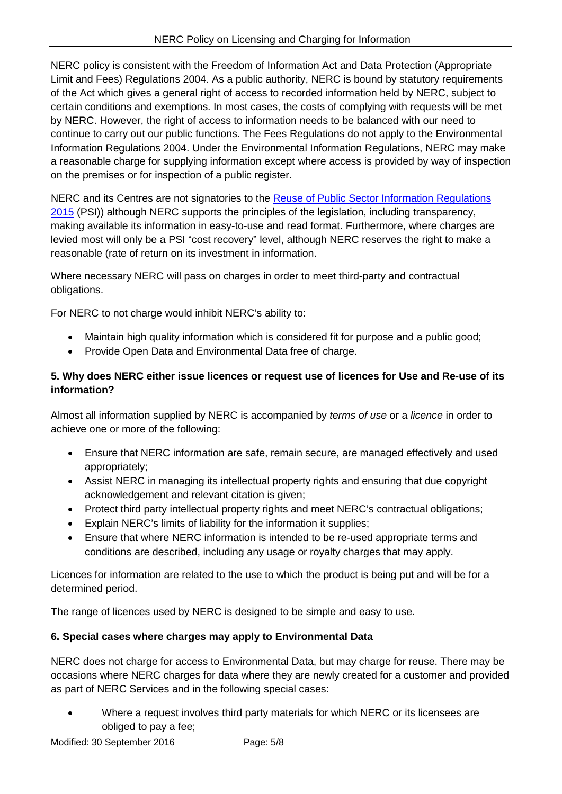NERC policy is consistent with the Freedom of Information Act and Data Protection (Appropriate Limit and Fees) Regulations 2004. As a public authority, NERC is bound by statutory requirements of the Act which gives a general right of access to recorded information held by NERC, subject to certain conditions and exemptions. In most cases, the costs of complying with requests will be met by NERC. However, the right of access to information needs to be balanced with our need to continue to carry out our public functions. The Fees Regulations do not apply to the Environmental Information Regulations 2004. Under the Environmental Information Regulations, NERC may make a reasonable charge for supplying information except where access is provided by way of inspection on the premises or for inspection of a public register.

NERC and its Centres are not signatories to the Reuse of Public Sector Information Regulations [2015](http://www.legislation.gov.uk/uksi/2015/1415/pdfs/uksi_20151415_en.pdf) (PSI)) although NERC supports the principles of the legislation, including transparency, making available its information in easy-to-use and read format. Furthermore, where charges are levied most will only be a PSI "cost recovery" level, although NERC reserves the right to make a reasonable (rate of return on its investment in information.

Where necessary NERC will pass on charges in order to meet third-party and contractual obligations.

For NERC to not charge would inhibit NERC's ability to:

- Maintain high quality information which is considered fit for purpose and a public good;
- Provide Open Data and Environmental Data free of charge.

#### <span id="page-4-0"></span>**5. Why does NERC either issue licences or request use of licences for Use and Re-use of its information?**

Almost all information supplied by NERC is accompanied by *terms of use* or a *licence* in order to achieve one or more of the following:

- Ensure that NERC information are safe, remain secure, are managed effectively and used appropriately;
- Assist NERC in managing its intellectual property rights and ensuring that due copyright acknowledgement and relevant citation is given;
- Protect third party intellectual property rights and meet NERC's contractual obligations;
- Explain NERC's limits of liability for the information it supplies;
- Ensure that where NERC information is intended to be re-used appropriate terms and conditions are described, including any usage or royalty charges that may apply.

Licences for information are related to the use to which the product is being put and will be for a determined period.

The range of licences used by NERC is designed to be simple and easy to use.

### <span id="page-4-1"></span>**6. Special cases where charges may apply to Environmental Data**

NERC does not charge for access to Environmental Data, but may charge for reuse. There may be occasions where NERC charges for data where they are newly created for a customer and provided as part of NERC Services and in the following special cases:

• Where a request involves third party materials for which NERC or its licensees are obliged to pay a fee;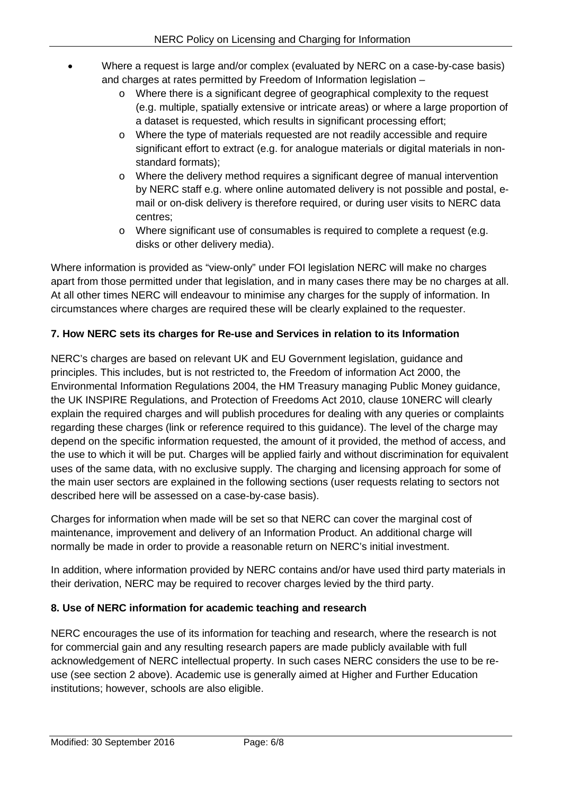- Where a request is large and/or complex (evaluated by NERC on a case-by-case basis) and charges at rates permitted by Freedom of Information legislation –
	- o Where there is a significant degree of geographical complexity to the request (e.g. multiple, spatially extensive or intricate areas) or where a large proportion of a dataset is requested, which results in significant processing effort;
	- o Where the type of materials requested are not readily accessible and require significant effort to extract (e.g. for analogue materials or digital materials in nonstandard formats);
	- o Where the delivery method requires a significant degree of manual intervention by NERC staff e.g. where online automated delivery is not possible and postal, email or on-disk delivery is therefore required, or during user visits to NERC data centres;
	- o Where significant use of consumables is required to complete a request (e.g. disks or other delivery media).

Where information is provided as "view-only" under FOI legislation NERC will make no charges apart from those permitted under that legislation, and in many cases there may be no charges at all. At all other times NERC will endeavour to minimise any charges for the supply of information. In circumstances where charges are required these will be clearly explained to the requester.

### <span id="page-5-0"></span>**7. How NERC sets its charges for Re-use and Services in relation to its Information**

NERC's charges are based on relevant UK and EU Government legislation, guidance and principles. This includes, but is not restricted to, the Freedom of information Act 2000, the Environmental Information Regulations 2004, the HM Treasury managing Public Money guidance, the UK INSPIRE Regulations, and Protection of Freedoms Act 2010, clause 10NERC will clearly explain the required charges and will publish procedures for dealing with any queries or complaints regarding these charges (link or reference required to this guidance). The level of the charge may depend on the specific information requested, the amount of it provided, the method of access, and the use to which it will be put. Charges will be applied fairly and without discrimination for equivalent uses of the same data, with no exclusive supply. The charging and licensing approach for some of the main user sectors are explained in the following sections (user requests relating to sectors not described here will be assessed on a case-by-case basis).

Charges for information when made will be set so that NERC can cover the marginal cost of maintenance, improvement and delivery of an Information Product. An additional charge will normally be made in order to provide a reasonable return on NERC's initial investment.

In addition, where information provided by NERC contains and/or have used third party materials in their derivation, NERC may be required to recover charges levied by the third party.

### <span id="page-5-1"></span>**8. Use of NERC information for academic teaching and research**

NERC encourages the use of its information for teaching and research, where the research is not for commercial gain and any resulting research papers are made publicly available with full acknowledgement of NERC intellectual property. In such cases NERC considers the use to be reuse (see section 2 above). Academic use is generally aimed at Higher and Further Education institutions; however, schools are also eligible.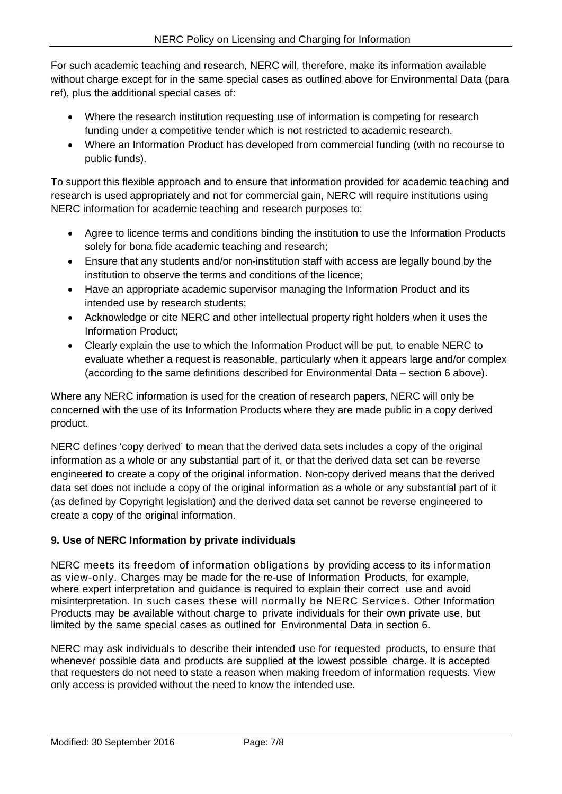For such academic teaching and research, NERC will, therefore, make its information available without charge except for in the same special cases as outlined above for Environmental Data (para ref), plus the additional special cases of:

- Where the research institution requesting use of information is competing for research funding under a competitive tender which is not restricted to academic research.
- Where an Information Product has developed from commercial funding (with no recourse to public funds).

To support this flexible approach and to ensure that information provided for academic teaching and research is used appropriately and not for commercial gain, NERC will require institutions using NERC information for academic teaching and research purposes to:

- Agree to licence terms and conditions binding the institution to use the Information Products solely for bona fide academic teaching and research;
- Ensure that any students and/or non-institution staff with access are legally bound by the institution to observe the terms and conditions of the licence;
- Have an appropriate academic supervisor managing the Information Product and its intended use by research students;
- Acknowledge or cite NERC and other intellectual property right holders when it uses the Information Product;
- Clearly explain the use to which the Information Product will be put, to enable NERC to evaluate whether a request is reasonable, particularly when it appears large and/or complex (according to the same definitions described for Environmental Data – section 6 above).

Where any NERC information is used for the creation of research papers, NERC will only be concerned with the use of its Information Products where they are made public in a copy derived product.

NERC defines 'copy derived' to mean that the derived data sets includes a copy of the original information as a whole or any substantial part of it, or that the derived data set can be reverse engineered to create a copy of the original information. Non-copy derived means that the derived data set does not include a copy of the original information as a whole or any substantial part of it (as defined by Copyright legislation) and the derived data set cannot be reverse engineered to create a copy of the original information.

# <span id="page-6-0"></span>**9. Use of NERC Information by private individuals**

NERC meets its freedom of information obligations by providing access to its information as view-only. Charges may be made for the re-use of Information Products, for example, where expert interpretation and quidance is required to explain their correct use and avoid misinterpretation. In such cases these will normally be NERC Services. Other Information Products may be available without charge to private individuals for their own private use, but limited by the same special cases as outlined for Environmental Data in section 6.

NERC may ask individuals to describe their intended use for requested products, to ensure that whenever possible data and products are supplied at the lowest possible charge. It is accepted that requesters do not need to state a reason when making freedom of information requests. View only access is provided without the need to know the intended use.